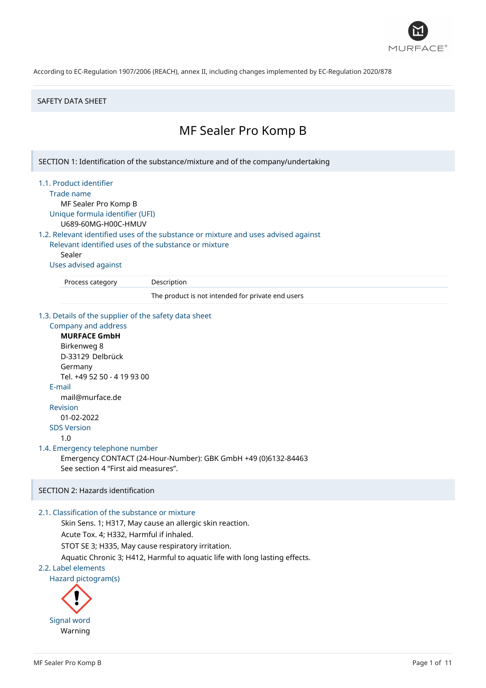

#### SAFETY DATA SHEET

# MF Sealer Pro Komp B

SECTION 1: Identification of the substance/mixture and of the company/undertaking

#### 1.1. Product identifier

Trade name

MF Sealer Pro Komp B Unique formula identifier (UFI)

U689-60MG-H00C-HMUV

# 1.2. Relevant identified uses of the substance or mixture and uses advised against

Relevant identified uses of the substance or mixture Sealer

#### Uses advised against

Process category Description

The product is not intended for private end users

#### 1.3. Details of the supplier of the safety data sheet

# Company and address **MURFACE GmbH** Birkenweg 8 D-33129 Delbrück Germany Tel. +49 52 50 - 4 19 93 00 E-mail mail@murface.de Revision 01-02-2022 SDS Version 1.0 1.4. Emergency telephone number Emergency CONTACT (24-Hour-Number): GBK GmbH +49 (0)6132-84463 See section 4 "First aid measures".

# SECTION 2: Hazards identification

# 2.1. Classification of the substance or mixture

Skin Sens. 1; H317, May cause an allergic skin reaction.

Acute Tox. 4; H332, Harmful if inhaled.

STOT SE 3; H335, May cause respiratory irritation.

Aquatic Chronic 3; H412, Harmful to aquatic life with long lasting effects.

#### 2.2. Label elements

Hazard pictogram(s)

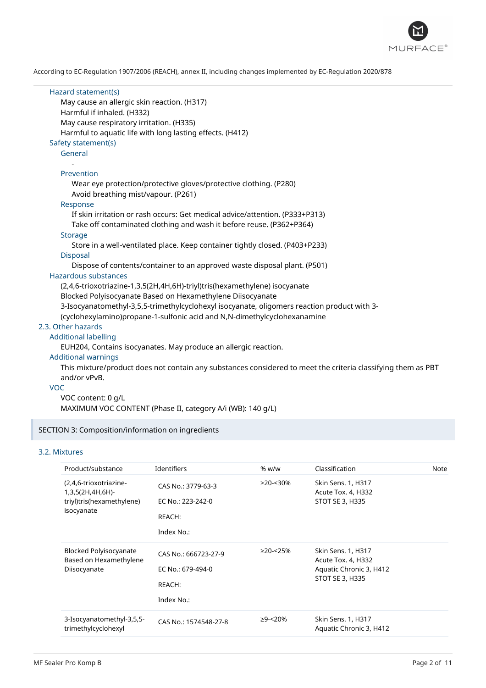

| Hazard statement(s)<br>May cause an allergic skin reaction. (H317)<br>Harmful if inhaled. (H332)<br>May cause respiratory irritation. (H335)<br>Harmful to aquatic life with long lasting effects. (H412)<br>Safety statement(s) |
|----------------------------------------------------------------------------------------------------------------------------------------------------------------------------------------------------------------------------------|
| General                                                                                                                                                                                                                          |
| Prevention<br>Wear eye protection/protective gloves/protective clothing. (P280)<br>Avoid breathing mist/vapour. (P261)                                                                                                           |
| Response                                                                                                                                                                                                                         |
| If skin irritation or rash occurs: Get medical advice/attention. (P333+P313)                                                                                                                                                     |
| Take off contaminated clothing and wash it before reuse. (P362+P364)<br><b>Storage</b>                                                                                                                                           |
| Store in a well-ventilated place. Keep container tightly closed. (P403+P233)<br><b>Disposal</b>                                                                                                                                  |
| Dispose of contents/container to an approved waste disposal plant. (P501)                                                                                                                                                        |
| Hazardous substances                                                                                                                                                                                                             |
| (2,4,6-trioxotriazine-1,3,5(2H,4H,6H)-triyl)tris(hexamethylene) isocyanate                                                                                                                                                       |
| Blocked Polyisocyanate Based on Hexamethylene Diisocyanate                                                                                                                                                                       |
| 3-Isocyanatomethyl-3,5,5-trimethylcyclohexyl isocyanate, oligomers reaction product with 3-                                                                                                                                      |
| (cyclohexylamino)propane-1-sulfonic acid and N,N-dimethylcyclohexanamine                                                                                                                                                         |
| 2.3. Other hazards                                                                                                                                                                                                               |
| <b>Additional labelling</b>                                                                                                                                                                                                      |
| EUH204, Contains isocyanates. May produce an allergic reaction.                                                                                                                                                                  |
| <b>Additional warnings</b>                                                                                                                                                                                                       |
| This mixture/product does not contain any substances considered to meet the criteria classifying them as PBT<br>and/or vPvB.                                                                                                     |
| <b>VOC</b>                                                                                                                                                                                                                       |
| VOC content: 0 g/L                                                                                                                                                                                                               |
| MAXIMUM VOC CONTENT (Phase II, category A/i (WB): 140 g/L)                                                                                                                                                                       |

# SECTION 3: Composition/information on ingredients

#### 3.2. Mixtures

| Product/substance                                                                     | <b>Identifiers</b>                                                | % w/w          | Classification                                                                         | Note |
|---------------------------------------------------------------------------------------|-------------------------------------------------------------------|----------------|----------------------------------------------------------------------------------------|------|
| (2,4,6-trioxotriazine-<br>1,3,5(2H,4H,6H)-<br>triyl)tris(hexamethylene)<br>isocyanate | CAS No.: 3779-63-3<br>EC No.: 223-242-0<br>REACH:<br>Index No.:   | $\geq$ 20-<30% | Skin Sens. 1, H317<br>Acute Tox. 4, H332<br>STOT SE 3, H335                            |      |
| <b>Blocked Polyisocyanate</b><br>Based on Hexamethylene<br>Diisocyanate               | CAS No.: 666723-27-9<br>EC No.: 679-494-0<br>REACH:<br>Index No.: | $\geq$ 20-<25% | Skin Sens. 1, H317<br>Acute Tox. 4, H332<br>Aquatic Chronic 3, H412<br>STOT SE 3, H335 |      |
| 3-Isocyanatomethyl-3,5,5-<br>trimethylcyclohexyl                                      | CAS No.: 1574548-27-8                                             | ≥9-<20%        | Skin Sens. 1, H317<br>Aquatic Chronic 3, H412                                          |      |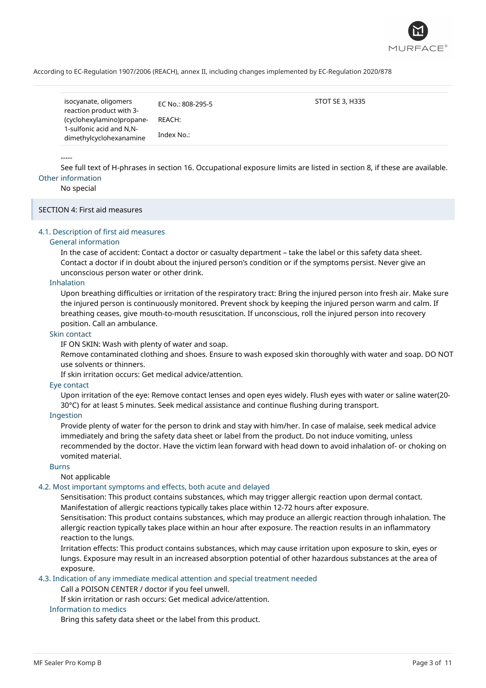

| isocyanate, oligomers<br>reaction product with 3-   | EC No.: 808-295-5 | STOT SE 3, H335 |
|-----------------------------------------------------|-------------------|-----------------|
| (cyclohexylamino)propane-                           | REACH:            |                 |
| 1-sulfonic acid and N.N-<br>dimethylcyclohexanamine | Index No.:        |                 |

#### -----

See full text of H-phrases in section 16. Occupational exposure limits are listed in section 8, if these are available. Other information

No special

SECTION 4: First aid measures

## 4.1. Description of first aid measures

#### General information

In the case of accident: Contact a doctor or casualty department – take the label or this safety data sheet. Contact a doctor if in doubt about the injured person's condition or if the symptoms persist. Never give an unconscious person water or other drink.

# Inhalation

Upon breathing difficulties or irritation of the respiratory tract: Bring the injured person into fresh air. Make sure the injured person is continuously monitored. Prevent shock by keeping the injured person warm and calm. If breathing ceases, give mouth-to-mouth resuscitation. If unconscious, roll the injured person into recovery position. Call an ambulance.

#### Skin contact

IF ON SKIN: Wash with plenty of water and soap.

Remove contaminated clothing and shoes. Ensure to wash exposed skin thoroughly with water and soap. DO NOT use solvents or thinners.

If skin irritation occurs: Get medical advice/attention.

#### Eye contact

Upon irritation of the eye: Remove contact lenses and open eyes widely. Flush eyes with water or saline water(20- 30°C) for at least 5 minutes. Seek medical assistance and continue flushing during transport.

## Ingestion

Provide plenty of water for the person to drink and stay with him/her. In case of malaise, seek medical advice immediately and bring the safety data sheet or label from the product. Do not induce vomiting, unless recommended by the doctor. Have the victim lean forward with head down to avoid inhalation of- or choking on vomited material.

### Burns

Not applicable

### 4.2. Most important symptoms and effects, both acute and delayed

Sensitisation: This product contains substances, which may trigger allergic reaction upon dermal contact.

Manifestation of allergic reactions typically takes place within 12-72 hours after exposure.

Sensitisation: This product contains substances, which may produce an allergic reaction through inhalation. The allergic reaction typically takes place within an hour after exposure. The reaction results in an inflammatory reaction to the lungs.

Irritation effects: This product contains substances, which may cause irritation upon exposure to skin, eyes or lungs. Exposure may result in an increased absorption potential of other hazardous substances at the area of exposure.

### 4.3. Indication of any immediate medical attention and special treatment needed

Call a POISON CENTER / doctor if you feel unwell.

If skin irritation or rash occurs: Get medical advice/attention.

# Information to medics

Bring this safety data sheet or the label from this product.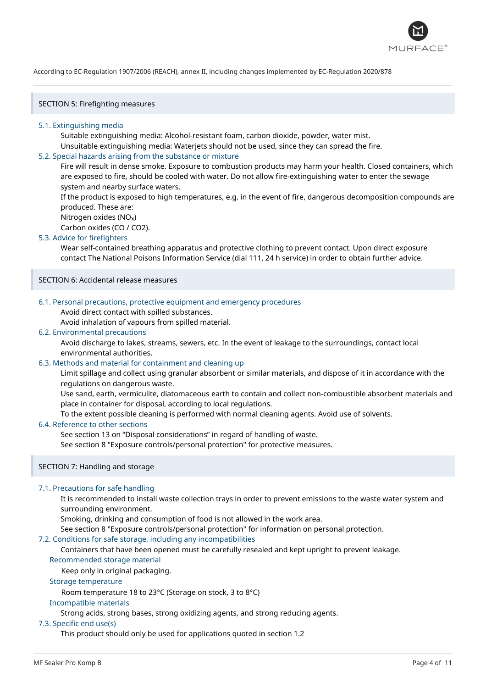

SECTION 5: Firefighting measures

#### 5.1. Extinguishing media

Suitable extinguishing media: Alcohol-resistant foam, carbon dioxide, powder, water mist. Unsuitable extinguishing media: Waterjets should not be used, since they can spread the fire.

#### 5.2. Special hazards arising from the substance or mixture

Fire will result in dense smoke. Exposure to combustion products may harm your health. Closed containers, which are exposed to fire, should be cooled with water. Do not allow fire-extinguishing water to enter the sewage system and nearby surface waters.

If the product is exposed to high temperatures, e.g. in the event of fire, dangerous decomposition compounds are produced. These are:

Nitrogen oxides (NO<sub>x</sub>)

Carbon oxides (CO / CO2).

#### 5.3. Advice for firefighters

Wear self-contained breathing apparatus and protective clothing to prevent contact. Upon direct exposure contact The National Poisons Information Service (dial 111, 24 h service) in order to obtain further advice.

SECTION 6: Accidental release measures

#### 6.1. Personal precautions, protective equipment and emergency procedures

Avoid direct contact with spilled substances.

Avoid inhalation of vapours from spilled material.

#### 6.2. Environmental precautions

Avoid discharge to lakes, streams, sewers, etc. In the event of leakage to the surroundings, contact local environmental authorities.

### 6.3. Methods and material for containment and cleaning up

Limit spillage and collect using granular absorbent or similar materials, and dispose of it in accordance with the regulations on dangerous waste.

Use sand, earth, vermiculite, diatomaceous earth to contain and collect non-combustible absorbent materials and place in container for disposal, according to local regulations.

To the extent possible cleaning is performed with normal cleaning agents. Avoid use of solvents.

### 6.4. Reference to other sections

See section 13 on "Disposal considerations" in regard of handling of waste. See section 8 "Exposure controls/personal protection" for protective measures.

#### SECTION 7: Handling and storage

#### 7.1. Precautions for safe handling

It is recommended to install waste collection trays in order to prevent emissions to the waste water system and surrounding environment.

Smoking, drinking and consumption of food is not allowed in the work area.

See section 8 "Exposure controls/personal protection" for information on personal protection.

#### 7.2. Conditions for safe storage, including any incompatibilities

Containers that have been opened must be carefully resealed and kept upright to prevent leakage.

# Recommended storage material

Keep only in original packaging.

#### Storage temperature

Room temperature 18 to 23°C (Storage on stock, 3 to 8°C)

#### Incompatible materials

Strong acids, strong bases, strong oxidizing agents, and strong reducing agents.

### 7.3. Specific end use(s)

This product should only be used for applications quoted in section 1.2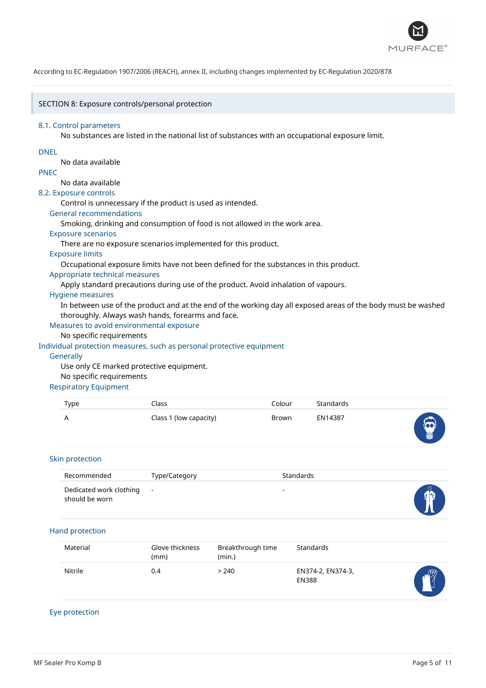

## SECTION 8: Exposure controls/personal protection

#### 8.1. Control parameters

No substances are listed in the national list of substances with an occupational exposure limit.

#### DNEL

No data available

### PNEC

# No data available

8.2. Exposure controls

Control is unnecessary if the product is used as intended.

#### General recommendations

Smoking, drinking and consumption of food is not allowed in the work area.

#### Exposure scenarios

There are no exposure scenarios implemented for this product.

# Exposure limits

Occupational exposure limits have not been defined for the substances in this product.

#### Appropriate technical measures

Apply standard precautions during use of the product. Avoid inhalation of vapours.

#### Hygiene measures

In between use of the product and at the end of the working day all exposed areas of the body must be washed thoroughly. Always wash hands, forearms and face.

### Measures to avoid environmental exposure

No specific requirements

#### Individual protection measures, such as personal protective equipment

#### **Generally**

Use only CE marked protective equipment.

#### No specific requirements

#### Respiratory Equipment

| Type | ົ.lass                 | Colour | Standards |            |
|------|------------------------|--------|-----------|------------|
| A    | Class 1 (low capacity) | Brown  | EN14387   | $\bigodot$ |

#### Skin protection

| Recommended                                 | Type/Category | Standards |   |
|---------------------------------------------|---------------|-----------|---|
| Dedicated work clothing -<br>should be worn |               |           | Ó |

#### Hand protection

| Material | Glove thickness<br>(mm) | Breakthrough time<br>(min.) | Standards                         |            |
|----------|-------------------------|-----------------------------|-----------------------------------|------------|
| Nitrile  | 0.4                     | > 240                       | EN374-2, EN374-3,<br><b>EN388</b> | $\sqrt{m}$ |

# Eye protection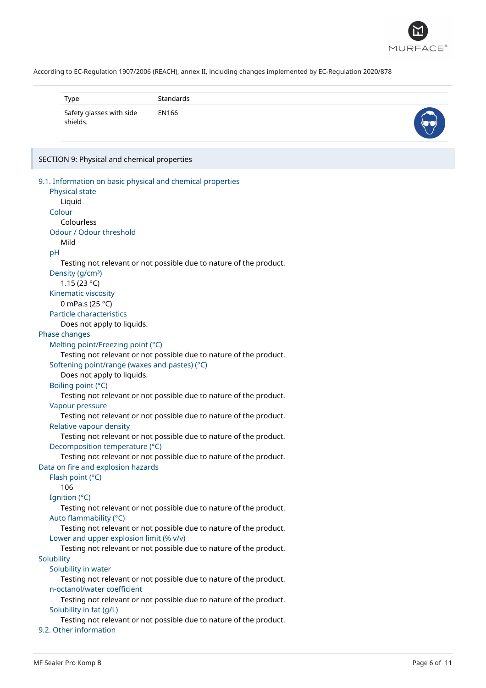

| Type                                 | Standards |  |
|--------------------------------------|-----------|--|
| Safety glasses with side<br>shields. | EN166     |  |

#### SECTION 9: Physical and chemical properties

```
9.1. Information on basic physical and chemical properties
   Physical state
      Liquid
   Colour
      Colourless
   Odour / Odour threshold
      Mild
   pH
      Testing not relevant or not possible due to nature of the product.
   Density (g/cm<sup>3</sup>)
      1.15 (23 °C)
   Kinematic viscosity
      0 mPa.s (25 °C)
   Particle characteristics
      Does not apply to liquids.
Phase changes
   Melting point/Freezing point (°C)
      Testing not relevant or not possible due to nature of the product.
   Softening point/range (waxes and pastes) (°C)
      Does not apply to liquids.
   Boiling point (°C)
      Testing not relevant or not possible due to nature of the product.
   Vapour pressure
      Testing not relevant or not possible due to nature of the product.
   Relative vapour density
      Testing not relevant or not possible due to nature of the product.
   Decomposition temperature (°C)
      Testing not relevant or not possible due to nature of the product.
Data on fire and explosion hazards
   Flash point (°C)
      106
  Ignition (°C)
      Testing not relevant or not possible due to nature of the product.
   Auto flammability (°C)
      Testing not relevant or not possible due to nature of the product.
   Lower and upper explosion limit (% v/v)
      Testing not relevant or not possible due to nature of the product.
Solubility
   Solubility in water
      Testing not relevant or not possible due to nature of the product.
   n-octanol/water coefficient
      Testing not relevant or not possible due to nature of the product.
   Solubility in fat (g/L)
      Testing not relevant or not possible due to nature of the product.
9.2. Other information
```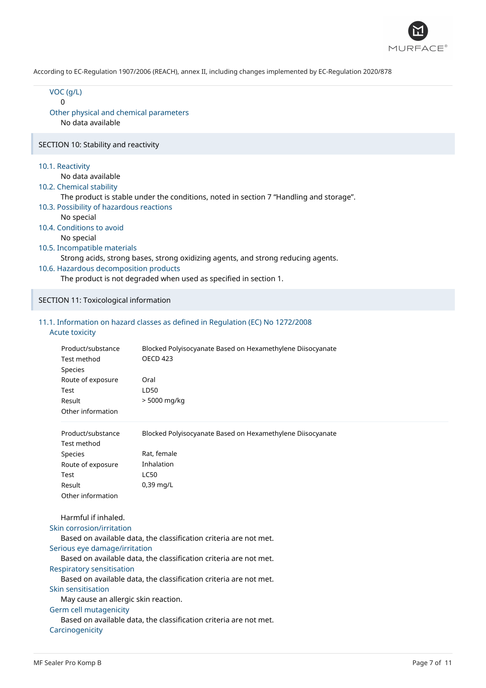

| VOC (g/L)<br>0<br>Other physical and chemical parameters<br>No data available                                                                                                                                                                    |                                                                                                                                                                                                                                                                                  |
|--------------------------------------------------------------------------------------------------------------------------------------------------------------------------------------------------------------------------------------------------|----------------------------------------------------------------------------------------------------------------------------------------------------------------------------------------------------------------------------------------------------------------------------------|
| SECTION 10: Stability and reactivity                                                                                                                                                                                                             |                                                                                                                                                                                                                                                                                  |
| 10.1. Reactivity<br>No data available<br>10.2. Chemical stability<br>10.3. Possibility of hazardous reactions<br>No special<br>10.4. Conditions to avoid<br>No special<br>10.5. Incompatible materials<br>10.6. Hazardous decomposition products | The product is stable under the conditions, noted in section 7 "Handling and storage".<br>Strong acids, strong bases, strong oxidizing agents, and strong reducing agents.<br>The product is not degraded when used as specified in section 1.                                   |
| SECTION 11: Toxicological information                                                                                                                                                                                                            |                                                                                                                                                                                                                                                                                  |
| <b>Acute toxicity</b>                                                                                                                                                                                                                            | 11.1. Information on hazard classes as defined in Regulation (EC) No 1272/2008                                                                                                                                                                                                   |
| Product/substance<br>Test method<br>Species<br>Route of exposure<br>Test<br>Result<br>Other information                                                                                                                                          | Blocked Polyisocyanate Based on Hexamethylene Diisocyanate<br><b>OECD 423</b><br>Oral<br>LD50<br>> 5000 mg/kg                                                                                                                                                                    |
| Product/substance<br>Test method<br>Species<br>Route of exposure<br>Test<br>Result<br>Other information                                                                                                                                          | Blocked Polyisocyanate Based on Hexamethylene Diisocyanate<br>Rat, female<br>Inhalation<br><b>LC50</b><br>0,39 mg/L                                                                                                                                                              |
| Harmful if inhaled.<br>Skin corrosion/irritation<br>Serious eye damage/irritation<br>Respiratory sensitisation<br>Skin sensitisation<br>May cause an allergic skin reaction.<br>Germ cell mutagenicity<br>Carcinogenicity                        | Based on available data, the classification criteria are not met.<br>Based on available data, the classification criteria are not met.<br>Based on available data, the classification criteria are not met.<br>Based on available data, the classification criteria are not met. |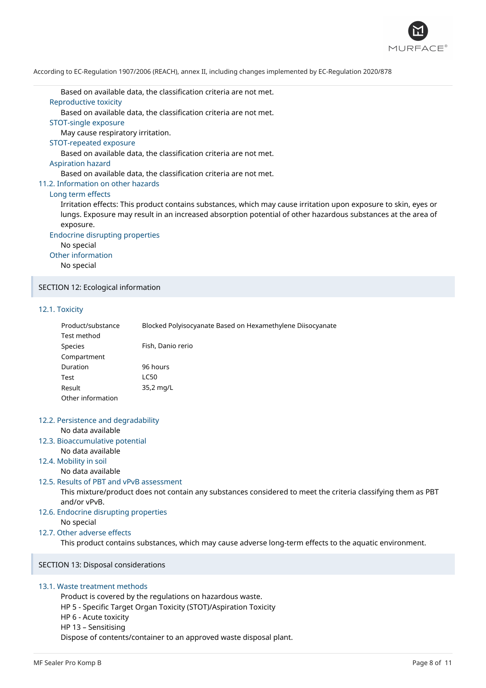

Based on available data, the classification criteria are not met.

# Reproductive toxicity

Based on available data, the classification criteria are not met.

STOT-single exposure

May cause respiratory irritation.

#### STOT-repeated exposure

Based on available data, the classification criteria are not met.

#### Aspiration hazard

Based on available data, the classification criteria are not met.

#### 11.2. Information on other hazards

#### Long term effects

Irritation effects: This product contains substances, which may cause irritation upon exposure to skin, eyes or lungs. Exposure may result in an increased absorption potential of other hazardous substances at the area of exposure.

Endocrine disrupting properties

No special Other information No special

#### SECTION 12: Ecological information

#### 12.1. Toxicity

| Product/substance | Blocked Polyisocyanate Based on Hexamethylene Diisocyanate |
|-------------------|------------------------------------------------------------|
| Test method       |                                                            |
| Species           | Fish, Danio rerio                                          |
| Compartment       |                                                            |
| Duration          | 96 hours                                                   |
| Test              | LC50                                                       |
| Result            | 35,2 mg/L                                                  |
| Other information |                                                            |

# 12.2. Persistence and degradability

No data available

### 12.3. Bioaccumulative potential

No data available

### 12.4. Mobility in soil

No data available

#### 12.5. Results of PBT and vPvB assessment

This mixture/product does not contain any substances considered to meet the criteria classifying them as PBT and/or vPvB.

12.6. Endocrine disrupting properties

No special

# 12.7. Other adverse effects

This product contains substances, which may cause adverse long-term effects to the aquatic environment.

SECTION 13: Disposal considerations

## 13.1. Waste treatment methods

Product is covered by the regulations on hazardous waste. HP 5 - Specific Target Organ Toxicity (STOT)/Aspiration Toxicity HP 6 - Acute toxicity HP 13 – Sensitising Dispose of contents/container to an approved waste disposal plant.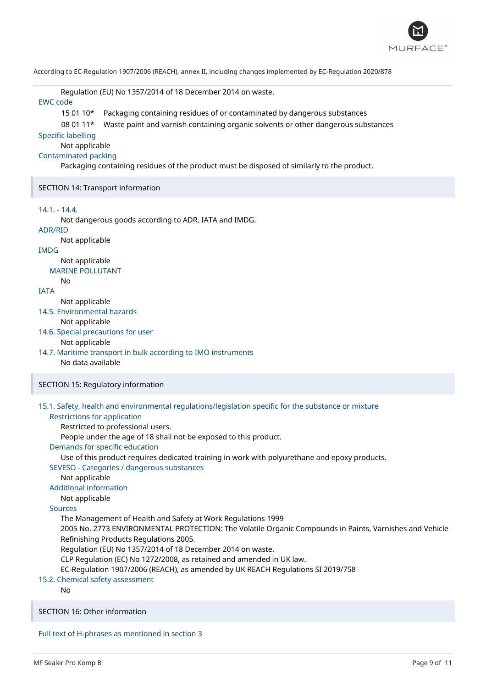

Regulation (EU) No 1357/2014 of 18 December 2014 on waste.

# EWC code

15 01 10\* Packaging containing residues of or contaminated by dangerous substances

#### 08 01 11\* Waste paint and varnish containing organic solvents or other dangerous substances

#### Specific labelling

Not applicable

# Contaminated packing

Packaging containing residues of the product must be disposed of similarly to the product.

#### SECTION 14: Transport information

# 14.1. - 14.4.

Not dangerous goods according to ADR, IATA and IMDG.

# ADR/RID

Not applicable

# IMDG

Not applicable MARINE POLLUTANT

No

#### IATA

Not applicable

14.5. Environmental hazards

Not applicable

#### 14.6. Special precautions for user

#### Not applicable

14.7. Maritime transport in bulk according to IMO instruments No data available

#### SECTION 15: Regulatory information

#### 15.1. Safety, health and environmental regulations/legislation specific for the substance or mixture Restrictions for application

Restricted to professional users.

People under the age of 18 shall not be exposed to this product.

#### Demands for specific education

Use of this product requires dedicated training in work with polyurethane and epoxy products.

#### SEVESO - Categories / dangerous substances

Not applicable

# Additional information

# Not applicable

# Sources

The Management of Health and Safety at Work Regulations 1999

2005 No. 2773 ENVIRONMENTAL PROTECTION: The Volatile Organic Compounds in Paints, Varnishes and Vehicle Refinishing Products Regulations 2005.

Regulation (EU) No 1357/2014 of 18 December 2014 on waste.

CLP Regulation (EC) No 1272/2008, as retained and amended in UK law.

EC-Regulation 1907/2006 (REACH), as amended by UK REACH Regulations SI 2019/758

# 15.2. Chemical safety assessment

No

## SECTION 16: Other information

# Full text of H-phrases as mentioned in section 3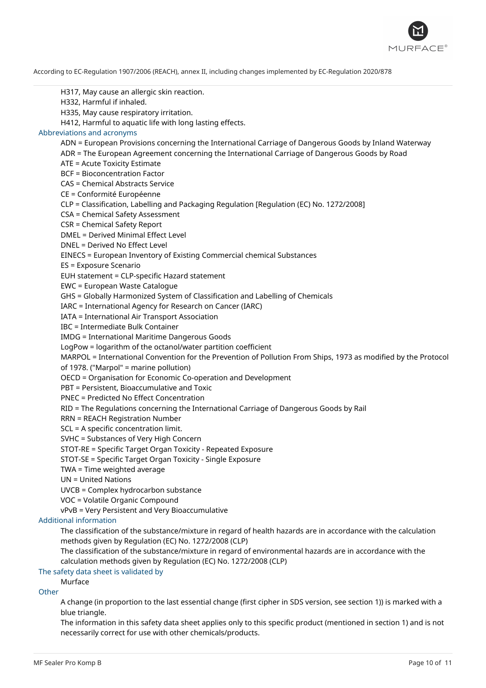

H317, May cause an allergic skin reaction. H332, Harmful if inhaled. H335, May cause respiratory irritation. H412, Harmful to aquatic life with long lasting effects. Abbreviations and acronyms ADN = European Provisions concerning the International Carriage of Dangerous Goods by Inland Waterway ADR = The European Agreement concerning the International Carriage of Dangerous Goods by Road ATE = Acute Toxicity Estimate BCF = Bioconcentration Factor CAS = Chemical Abstracts Service CE = Conformité Européenne CLP = Classification, Labelling and Packaging Regulation [Regulation (EC) No. 1272/2008] CSA = Chemical Safety Assessment CSR = Chemical Safety Report DMEL = Derived Minimal Effect Level DNEL = Derived No Effect Level EINECS = European Inventory of Existing Commercial chemical Substances ES = Exposure Scenario EUH statement = CLP-specific Hazard statement EWC = European Waste Catalogue GHS = Globally Harmonized System of Classification and Labelling of Chemicals IARC = International Agency for Research on Cancer (IARC) IATA = International Air Transport Association IBC = Intermediate Bulk Container IMDG = International Maritime Dangerous Goods LogPow = logarithm of the octanol/water partition coefficient MARPOL = International Convention for the Prevention of Pollution From Ships, 1973 as modified by the Protocol of 1978. ("Marpol" = marine pollution) OECD = Organisation for Economic Co-operation and Development PBT = Persistent, Bioaccumulative and Toxic PNEC = Predicted No Effect Concentration RID = The Regulations concerning the International Carriage of Dangerous Goods by Rail RRN = REACH Registration Number SCL = A specific concentration limit. SVHC = Substances of Very High Concern STOT-RE = Specific Target Organ Toxicity - Repeated Exposure STOT-SE = Specific Target Organ Toxicity - Single Exposure TWA = Time weighted average UN = United Nations UVCB = Complex hydrocarbon substance VOC = Volatile Organic Compound vPvB = Very Persistent and Very Bioaccumulative Additional information The classification of the substance/mixture in regard of health hazards are in accordance with the calculation methods given by Regulation (EC) No. 1272/2008 (CLP) The classification of the substance/mixture in regard of environmental hazards are in accordance with the calculation methods given by Regulation (EC) No. 1272/2008 (CLP) The safety data sheet is validated by Murface **Other** A change (in proportion to the last essential change (first cipher in SDS version, see section 1)) is marked with a blue triangle. The information in this safety data sheet applies only to this specific product (mentioned in section 1) and is not

necessarily correct for use with other chemicals/products.